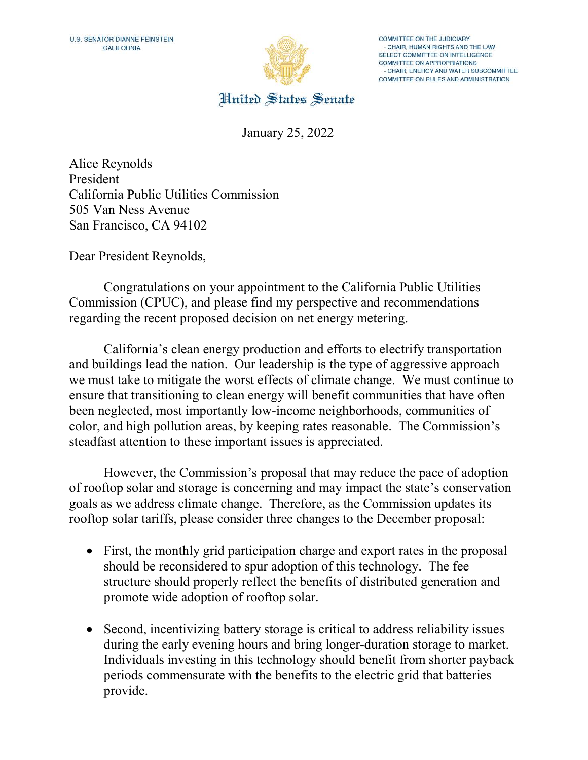

**COMMITTEE ON THE JUDICIARY** - CHAIR, HUMAN RIGHTS AND THE LAW SELECT COMMITTEE ON INTELLIGENCE COMMITTEE ON APPROPRIATIONS - CHAIR, ENERGY AND WATER SUBCOMMITTEE COMMITTEE ON RULES AND ADMINISTRATION

United States Senate

January 25, 2022

Alice Reynolds President California Public Utilities Commission 505 Van Ness Avenue San Francisco, CA 94102

Dear President Reynolds,

 Congratulations on your appointment to the California Public Utilities Commission (CPUC), and please find my perspective and recommendations regarding the recent proposed decision on net energy metering.

California's clean energy production and efforts to electrify transportation and buildings lead the nation. Our leadership is the type of aggressive approach we must take to mitigate the worst effects of climate change. We must continue to ensure that transitioning to clean energy will benefit communities that have often been neglected, most importantly low-income neighborhoods, communities of color, and high pollution areas, by keeping rates reasonable. The Commission's steadfast attention to these important issues is appreciated.

However, the Commission's proposal that may reduce the pace of adoption of rooftop solar and storage is concerning and may impact the state's conservation goals as we address climate change. Therefore, as the Commission updates its rooftop solar tariffs, please consider three changes to the December proposal:

- First, the monthly grid participation charge and export rates in the proposal should be reconsidered to spur adoption of this technology. The fee structure should properly reflect the benefits of distributed generation and promote wide adoption of rooftop solar.
- Second, incentivizing battery storage is critical to address reliability issues during the early evening hours and bring longer-duration storage to market. Individuals investing in this technology should benefit from shorter payback periods commensurate with the benefits to the electric grid that batteries provide.